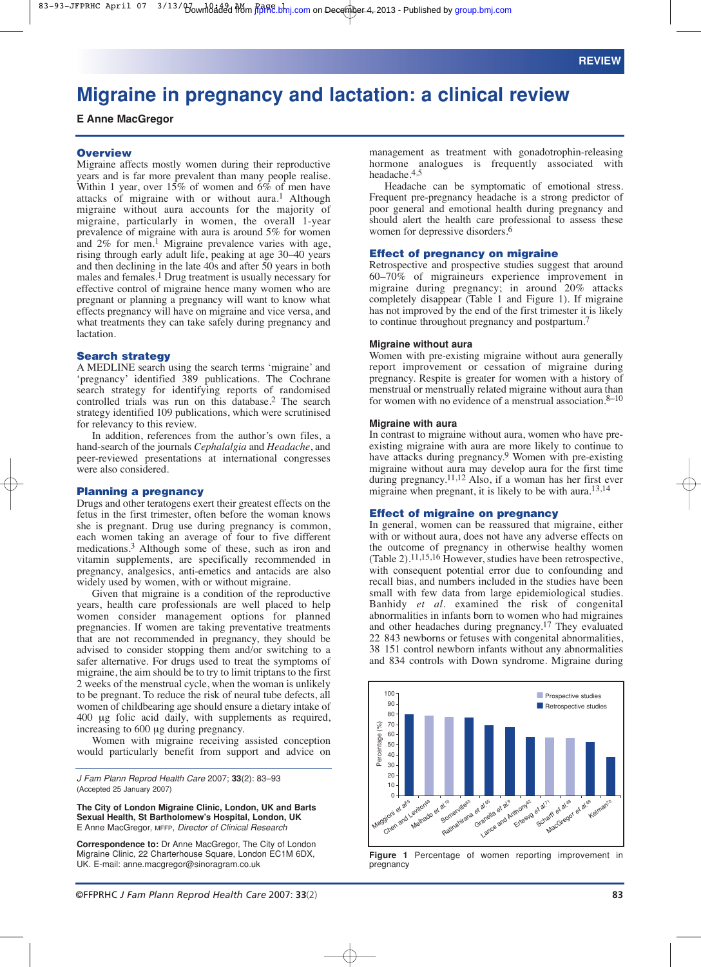## 83-93-JFPRHC April 07 3/13/bownloaded from jfppRe.bmj.com on December 4, 2013 - Published by [group.bmj.com](http://group.bmj.com/)

# **Migraine in pregnancy and lactation: a clinical review**

**E Anne MacGregor**

#### **Overview**

Migraine affects mostly women during their reproductive years and is far more prevalent than many people realise. Within 1 year, over  $15\%$  of women and  $6\%$  of men have attacks of migraine with or without aura.<sup>1</sup> Although migraine without aura accounts for the majority of migraine, particularly in women, the overall 1-year prevalence of migraine with aura is around 5% for women and  $2\%$  for men.<sup>1</sup> Migraine prevalence varies with age, rising through early adult life, peaking at age 30–40 years and then declining in the late 40s and after 50 years in both males and females.1 Drug treatment is usually necessary for effective control of migraine hence many women who are pregnant or planning a pregnancy will want to know what effects pregnancy will have on migraine and vice versa, and what treatments they can take safely during pregnancy and lactation.

#### **Search strategy**

A MEDLINE search using the search terms 'migraine' and 'pregnancy' identified 389 publications. The Cochrane search strategy for identifying reports of randomised controlled trials was run on this database.2 The search strategy identified 109 publications, which were scrutinised for relevancy to this review.

In addition, references from the author's own files, a hand-search of the journals *Cephalalgia* and *Headache*, and peer-reviewed presentations at international congresses were also considered.

## **Planning a pregnancy**

Drugs and other teratogens exert their greatest effects on the fetus in the first trimester, often before the woman knows she is pregnant. Drug use during pregnancy is common, each women taking an average of four to five different medications.3 Although some of these, such as iron and vitamin supplements, are specifically recommended in pregnancy, analgesics, anti-emetics and antacids are also widely used by women, with or without migraine.

Given that migraine is a condition of the reproductive years, health care professionals are well placed to help women consider management options for planned pregnancies. If women are taking preventative treatments that are not recommended in pregnancy, they should be advised to consider stopping them and/or switching to a safer alternative. For drugs used to treat the symptoms of migraine, the aim should be to try to limit triptans to the first 2 weeks of the menstrual cycle, when the woman is unlikely to be pregnant. To reduce the risk of neural tube defects, all women of childbearing age should ensure a dietary intake of 400 µg folic acid daily, with supplements as required, increasing to 600 µg during pregnancy.

Women with migraine receiving assisted conception would particularly benefit from support and advice on

*J Fam Plann Reprod Health Care* 2007; **33**(2): 83–93 (Accepted 25 January 2007)

**The City of London Migraine Clinic, London, UK and Barts Sexual Health, St Bartholomew's Hospital, London, UK** E Anne MacGregor, MFFP, *Director of Clinical Research*

**Correspondence to:** Dr Anne MacGregor, The City of London Migraine Clinic, 22 Charterhouse Square, London EC1M 6DX, UK. E-mail: anne.macgregor@sinoragram.co.uk

management as treatment with gonadotrophin-releasing hormone analogues is frequently associated with headache.4,5

Headache can be symptomatic of emotional stress. Frequent pre-pregnancy headache is a strong predictor of poor general and emotional health during pregnancy and should alert the health care professional to assess these women for depressive disorders.<sup>6</sup>

#### **Effect of pregnancy on migraine**

Retrospective and prospective studies suggest that around 60–70% of migraineurs experience improvement in migraine during pregnancy; in around 20% attacks completely disappear (Table 1 and Figure 1). If migraine has not improved by the end of the first trimester it is likely to continue throughout pregnancy and postpartum.7

#### **Migraine without aura**

Women with pre-existing migraine without aura generally report improvement or cessation of migraine during pregnancy. Respite is greater for women with a history of menstrual or menstrually related migraine without aura than for women with no evidence of a menstrual association.8–10

## **Migraine with aura**

In contrast to migraine without aura, women who have preexisting migraine with aura are more likely to continue to have attacks during pregnancy.9 Women with pre-existing migraine without aura may develop aura for the first time during pregnancy.11,12 Also, if a woman has her first ever migraine when pregnant, it is likely to be with aura.13,14

#### **Effect of migraine on pregnancy**

In general, women can be reassured that migraine, either with or without aura, does not have any adverse effects on the outcome of pregnancy in otherwise healthy women (Table 2).11,15,16 However, studies have been retrospective, with consequent potential error due to confounding and recall bias, and numbers included in the studies have been small with few data from large epidemiological studies. Banhidy *et al*. examined the risk of congenital abnormalities in infants born to women who had migraines and other headaches during pregnancy.17 They evaluated 22 843 newborns or fetuses with congenital abnormalities, 381151 control newborn infants without any abnormalities and 834 controls with Down syndrome. Migraine during



**Figure 1** Percentage of women reporting improvement in pregnancy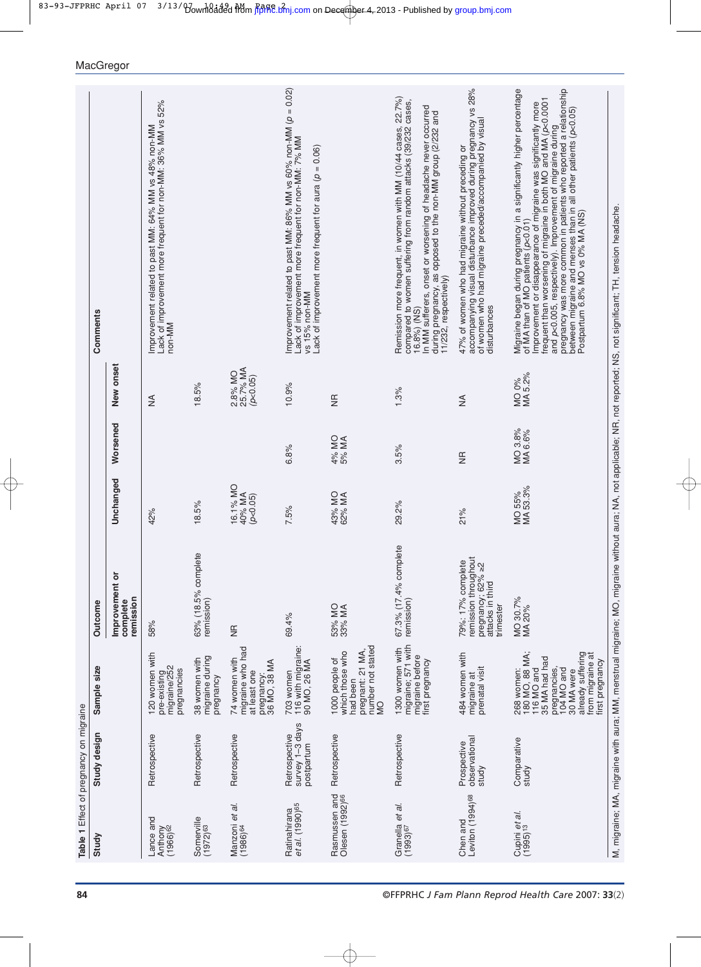|                                                    | Table 1 Effect of pregnancy on migraine        |                                                                                                                                                                     |                                                                                                       |                                |                    |                                 |                                                                                                                                                                                                                                                                                                                                                                                                                                                                                            |
|----------------------------------------------------|------------------------------------------------|---------------------------------------------------------------------------------------------------------------------------------------------------------------------|-------------------------------------------------------------------------------------------------------|--------------------------------|--------------------|---------------------------------|--------------------------------------------------------------------------------------------------------------------------------------------------------------------------------------------------------------------------------------------------------------------------------------------------------------------------------------------------------------------------------------------------------------------------------------------------------------------------------------------|
| Study                                              | Study design                                   | Sample size                                                                                                                                                         | <b>Outcome</b>                                                                                        |                                |                    |                                 | Comments                                                                                                                                                                                                                                                                                                                                                                                                                                                                                   |
|                                                    |                                                |                                                                                                                                                                     | ŏ<br>Improvement<br>remission<br>complete                                                             | Unchanged                      | Worsened           | New onset                       |                                                                                                                                                                                                                                                                                                                                                                                                                                                                                            |
| Lance and<br>Anthony<br>(1966) <sup>62</sup>       | Retrospective                                  | 120 women with<br>pre-existing<br>migraine/252<br>pregnancies                                                                                                       | 58%                                                                                                   | 42%                            |                    | $\lessgtr$                      | Improvement related to past MM: 64% MM vs 48% non-MM<br>Lack of improvement more frequent for non-MM: 36% MM vs 52%<br>non-MM                                                                                                                                                                                                                                                                                                                                                              |
| Somerville<br>(1972) <sup>63</sup>                 | Retrospective                                  | migraine during<br>38 women with<br>pregnancy                                                                                                                       | 63% (18.5% complete<br>remission)                                                                     | 18.5%                          |                    | 18.5%                           |                                                                                                                                                                                                                                                                                                                                                                                                                                                                                            |
| Manzoni <i>et al.</i><br>(1986) <sup>64</sup>      | Retrospective                                  | migraine who had<br>at least one<br>74 women with<br>pregnancy:<br>36 MO, 38 MA                                                                                     | $\frac{a}{N}$                                                                                         | 16.1% MO<br>40% MA<br>(p<0.05) |                    | 25.7% MA<br>2.8% MO<br>(p<0.05) |                                                                                                                                                                                                                                                                                                                                                                                                                                                                                            |
| Ratinahirana<br><i>et al.</i> (1990) <sup>65</sup> | survey 1-3 days<br>Retrospective<br>postpartum | 703 women<br>116 with migraine:<br>90 MO, 26 MA                                                                                                                     | 69.4%                                                                                                 | 7.5%                           | 6.8%               | 10.9%                           | Improvement related to past MM: 86% MM vs 60% non-MM (p = 0.02)<br>Lack of improvement more frequent for non-MM: 7% MM<br>Lack of improvement more frequent for aura ( $p = 0.06$ )<br>vs 15% non-MM                                                                                                                                                                                                                                                                                       |
| Rasmussen and<br>Olesen (1992) <sup>66</sup>       | Retrospective                                  | number not stated<br>pregnant: 21 MA,<br>which those who<br>1000 people of<br>had been<br>QM                                                                        | 53% MO<br>33% MA                                                                                      | 43% MO<br>62% MA               | 4% MO<br>5% MA     | $\frac{\pi}{2}$                 |                                                                                                                                                                                                                                                                                                                                                                                                                                                                                            |
| Granella <i>et al</i> .<br>(1993) <sup>67</sup>    | Retrospective                                  | migraine; 571 with<br>1300 women with<br>migraine before<br>first pregnancy                                                                                         | 67.3% (17.4% complete<br>remission)                                                                   | 29.2%                          | 3.5%               | 1.3%                            | Remission more frequent, in women with MM (10/44 cases, 22.7%)<br>compared to women suffering from random attacks (39/232 cases,<br>In MM sufferers, onset or worsening of headache never occurred<br>during pregnancy, as opposed to the non-MM group (2/232 and<br>11/232, respectively)<br>16.8%) (NS)                                                                                                                                                                                  |
| Leviton (1994) <sup>68</sup><br>Chen and           | observational<br>Prospective<br>study          | 484 women with<br>prenatal visit<br>migraine at                                                                                                                     | remission throughout<br>79%: 17% complete<br>pregnancy; $62\% \ge 2$<br>attacks in third<br>trimester | 21%                            | $\frac{1}{2}$      | ≸                               | 47% of women who had migraine without preceding or<br>accompanying visual disturbance improved during pregnancy vs 28%<br>of women who had migraine preceded/accompanied by visual<br>disturbances                                                                                                                                                                                                                                                                                         |
| Cupini <i>et al.</i><br>(1995) <sup>13</sup>       | Comparative<br>study                           | 180 MO, 88 MA;<br>116 MO and<br>already suffering<br>from migraine at<br>35 MA had had<br>first pregnancy<br>pregnancies,<br>104 MO and<br>268 women:<br>30 MA were | MO 30.7%<br>MA 20%                                                                                    | MO 55%<br>MA 53.3%             | MO 3.8%<br>MA 6.6% | MO 0%<br>MA 5.2%                | and p<0.005, respectively). Improvement of migraine during<br>pregnancy was more common in patients who reported a relationship<br>Migraine began during pregnancy in a significantly higher percentage<br>of MA than of MO patients (p<0.01)<br>Improvement or disappearance of migraine was significantly more<br>frequent than worsening of migraine in both MO and MA (p<0.0001<br>between migraine and menses than in all other patients (p<0.05)<br>Postpartum 6.8% MO vs 0% MA (NS) |
|                                                    |                                                |                                                                                                                                                                     |                                                                                                       |                                |                    |                                 | M, migraine; MA, migraine with aura; MM, menstrual migraine; MO, migraine without aura; NA, not applicable; NR, not reported; NS, not significant; TH, tension headache.                                                                                                                                                                                                                                                                                                                   |

 $\oplus$ 

MacGregor

**84** ©FFPRHC *J Fam Plann Reprod Health Care* 2007: **33**(2)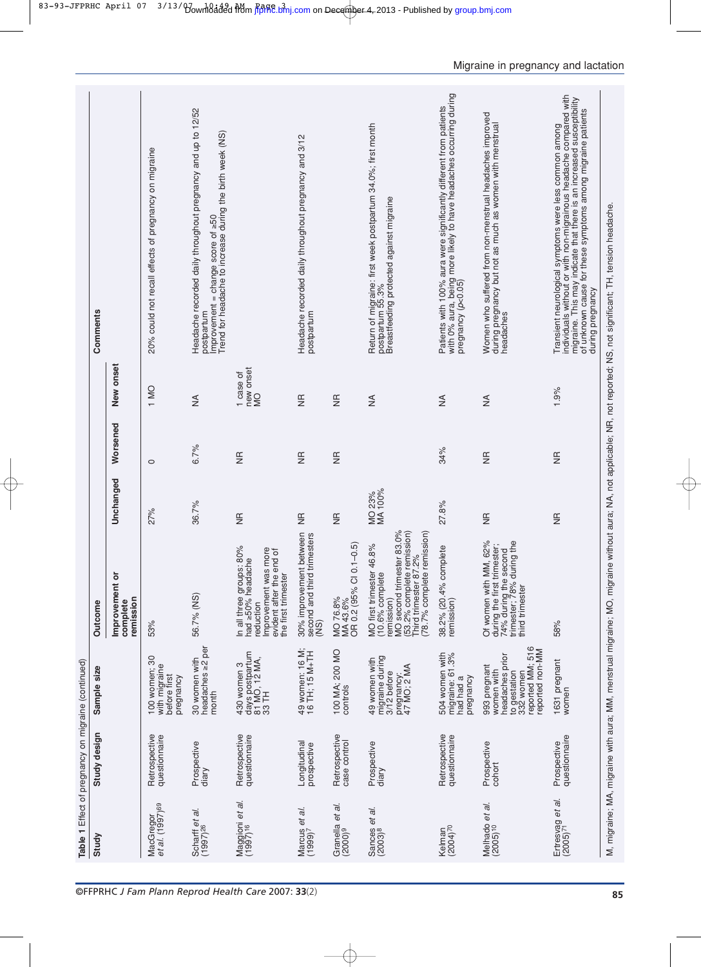|                                                 | Table 1 Effect of pregnancy on migraine (continued) |                                                                                                                   |                                                                                                                                                                                  |                   |                 |                             |                                                                                                                                                                                                                                                                                         |
|-------------------------------------------------|-----------------------------------------------------|-------------------------------------------------------------------------------------------------------------------|----------------------------------------------------------------------------------------------------------------------------------------------------------------------------------|-------------------|-----------------|-----------------------------|-----------------------------------------------------------------------------------------------------------------------------------------------------------------------------------------------------------------------------------------------------------------------------------------|
| Study                                           | Study design                                        | Sample size                                                                                                       | Outcome                                                                                                                                                                          |                   |                 |                             | Comments                                                                                                                                                                                                                                                                                |
|                                                 |                                                     |                                                                                                                   | Improvement or<br>remission<br>complete                                                                                                                                          | Unchanged         | Worsened        | New onset                   |                                                                                                                                                                                                                                                                                         |
| MacGregor<br>et al. (1997) <sup>69</sup>        | Retrospective<br>questionnaire                      | $\overline{30}$<br>with migraine<br>before first<br>100 women;<br>pregnancy                                       | 53%                                                                                                                                                                              | 27%               | $\circ$         | 1 MO                        | 20% could not recall effects of pregnancy on migraine                                                                                                                                                                                                                                   |
| Scharff et al.<br>$(1997)$ <sup>26</sup>        | Prospective<br>diary                                | headaches ≥2 per<br>30 women with<br>month                                                                        | 56.7% (NS)                                                                                                                                                                       | 36.7%             | 6.7%            | $\lessgtr$                  | Headache recorded daily throughout pregnancy and up to 12/52<br>Trend for headache to increase during the birth week (NS)<br>$improvement = change score of \geq 50$<br>oostpartum                                                                                                      |
| Maggioni <i>et al.</i><br>(1997) <sup>16</sup>  | Retrospective<br>questionnaire                      | days postpartum<br>81 MO, 12 MA,<br>33 TH<br>430 women 3                                                          | In all three groups: 80%<br>more<br>evident after the end of<br>e<br>had ≥50% headacl<br>Improvement was<br>the first trimester<br>reduction                                     | $\frac{a}{N}$     | $\frac{a}{N}$   | new onset<br>1 case of<br>Q |                                                                                                                                                                                                                                                                                         |
| Marcus <i>et al.</i><br>(1999) <sup>7</sup>     | Longitudinal<br>prospective                         | 49 women: 16 M;<br>16 TH; 15 M+TH                                                                                 | between<br>imesters<br>30% improvement<br>second and third tr<br>(NS)                                                                                                            | $\frac{\pi}{2}$   | $\frac{\pi}{2}$ | $\frac{\pi}{2}$             | Headache recorded daily throughout pregnancy and 3/12<br>postpartum                                                                                                                                                                                                                     |
| Granella <i>et al.</i><br>(2000) <sup>9</sup>   | Retrospective<br>case control                       | 100 MA; 200 MO<br>controls                                                                                        | $.1 - 0.5$<br>OR 0.2 (95% CI 0.<br>MO 76.8%<br>MA43.6%                                                                                                                           | $\frac{1}{2}$     | $\frac{1}{2}$   | $\frac{1}{2}$               |                                                                                                                                                                                                                                                                                         |
| ā.<br>θt<br>Sances                              | Prospective<br>diary                                | migraine during<br>49 women with<br>pregnancy:<br>47 MO; 2 MA<br>3/12 before                                      | MO second trimester 83.0%<br>(53.2% complete remission)<br>78.7% complete remission)<br>46.8%<br>2%<br>hird trimester 87<br>MO first trimester<br>$(10.6%$ complete<br>emission) | MO 23%<br>MA 100% |                 | ₹                           | Return of migraine: first week postpartum 34.0%; first month<br>postpartum 55.3%<br>Breastfeeding protected against migraine                                                                                                                                                            |
| Kelman<br>(2004) <sup>70</sup>                  | Retrospective<br>questionnaire                      | 504 women with<br>migraine: 61.3%<br>had had a<br>pregnancy                                                       | 38.2% (20.4% complete<br>remission)                                                                                                                                              | 27.8%             | 34%             | $\frac{4}{2}$               | with 0% aura, being more likely το have headaches occurring during<br>pregnancy (ρ<0.05)<br>Patients with 100% aura were significantly different from patients                                                                                                                          |
| Melhado <i>et al.</i><br>(2005) <sup>10</sup>   | Prospective<br>cohort                               | reported MM; 516<br>reported non-MM<br>headaches prior<br>993 pregnant<br>women with<br>to gestation<br>332 women | Of women with MM, 62%<br>74% during the second<br>trimester; 78% during the<br>during the first trimester;<br>third trimester                                                    | $\frac{a}{2}$     | $\frac{1}{2}$   | ≸                           | Women who suffered from non-menstrual headaches improved<br>during pregnancy but not as much as women with menstrual<br>headaches                                                                                                                                                       |
| Ertresvag <i>et al.</i><br>(2005) <sup>71</sup> | questionnaire<br>Prospective                        | 1631 pregnant<br>women                                                                                            | 58%                                                                                                                                                                              | $\frac{\pi}{2}$   | $\frac{a}{2}$   | 1.9%                        | individuals without or with non-migrainous headache compared with<br>migraine. This may indicate that there is an increased susceptibility<br>of unknown cause for these symptoms among migraine patients<br>Transient neurological symptoms were less common among<br>during pregnancy |
|                                                 |                                                     |                                                                                                                   |                                                                                                                                                                                  |                   |                 |                             | M, migraine; MA, migraine with aura; MM, menstrual migraine; MO, migraine without aura; NA, not applicable; NR, not reported; NS, not significant; TH, tension headache.                                                                                                                |

83-93-JFPRHC April 07 3/13/bownloaded from fiprhc.bmj.com on December 4, 2013 - Published by [group.bmj.com](http://group.bmj.com/)

Migraine in pregnancy and lactation

©FFPRHC **85** *J Fam Plann Reprod Health Care* 2007: **33**(2)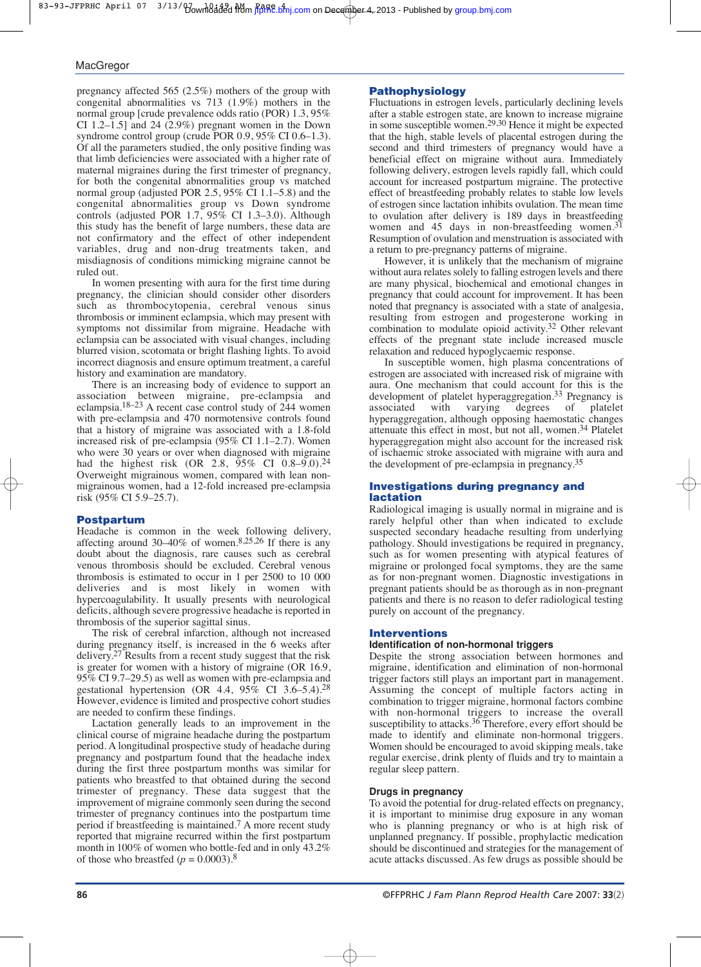pregnancy affected 565 (2.5%) mothers of the group with congenital abnormalities vs 713 (1.9%) mothers in the normal group [crude prevalence odds ratio (POR) 1.3, 95% CI 1.2–1.5] and 24 (2.9%) pregnant women in the Down syndrome control group (crude POR 0.9, 95% CI 0.6–1.3). Of all the parameters studied, the only positive finding was that limb deficiencies were associated with a higher rate of maternal migraines during the first trimester of pregnancy, for both the congenital abnormalities group vs matched normal group (adjusted POR 2.5, 95% CI 1.1–5.8) and the congenital abnormalities group vs Down syndrome controls (adjusted POR  $1.7$ ,  $95\%$  CI 1.3–3.0). Although this study has the benefit of large numbers, these data are not confirmatory and the effect of other independent variables, drug and non-drug treatments taken, and misdiagnosis of conditions mimicking migraine cannot be ruled out.

In women presenting with aura for the first time during pregnancy, the clinician should consider other disorders such as thrombocytopenia, cerebral venous sinus thrombosis or imminent eclampsia, which may present with symptoms not dissimilar from migraine. Headache with eclampsia can be associated with visual changes, including blurred vision, scotomata or bright flashing lights. To avoid incorrect diagnosis and ensure optimum treatment, a careful history and examination are mandatory.

There is an increasing body of evidence to support an association between migraine, pre-eclampsia and eclampsia.18–23 A recent case control study of 244 women with pre-eclampsia and 470 normotensive controls found that a history of migraine was associated with a 1.8-fold increased risk of pre-eclampsia (95% CI 1.1–2.7). Women who were 30 years or over when diagnosed with migraine had the highest risk (OR 2.8, 95% CI 0.8–9.0).<sup>24</sup> Overweight migrainous women, compared with lean nonmigrainous women, had a 12-fold increased pre-eclampsia risk (95% CI 5.9–25.7).

#### **Postpartum**

Headache is common in the week following delivery, affecting around 30–40% of women.<sup>8,25,26</sup> If there is any doubt about the diagnosis, rare causes such as cerebral venous thrombosis should be excluded. Cerebral venous thrombosis is estimated to occur in  $1$  per  $2500$  to  $10000$ deliveries and is most likely in women with hypercoagulability. It usually presents with neurological deficits, although severe progressive headache is reported in thrombosis of the superior sagittal sinus.

The risk of cerebral infarction, although not increased during pregnancy itself, is increased in the 6 weeks after delivery.27 Results from a recent study suggest that the risk is greater for women with a history of migraine (OR 16.9, 95% CI 9.7–29.5) as well as women with pre-eclampsia and gestational hypertension (OR 4.4,  $95\%$  CI 3.6–5.4).<sup>28</sup> However, evidence is limited and prospective cohort studies are needed to confirm these findings.

Lactation generally leads to an improvement in the clinical course of migraine headache during the postpartum period. A longitudinal prospective study of headache during pregnancy and postpartum found that the headache index during the first three postpartum months was similar for patients who breastfed to that obtained during the second trimester of pregnancy. These data suggest that the improvement of migraine commonly seen during the second trimester of pregnancy continues into the postpartum time period if breastfeeding is maintained.7 A more recent study reported that migraine recurred within the first postpartum month in 100% of women who bottle-fed and in only 43.2% of those who breastfed  $(p = 0.0003)$ .<sup>8</sup>

## **Pathophysiology**

Fluctuations in estrogen levels, particularly declining levels after a stable estrogen state, are known to increase migraine in some susceptible women.29,30 Hence it might be expected that the high, stable levels of placental estrogen during the second and third trimesters of pregnancy would have a beneficial effect on migraine without aura. Immediately following delivery, estrogen levels rapidly fall, which could account for increased postpartum migraine. The protective effect of breastfeeding probably relates to stable low levels of estrogen since lactation inhibits ovulation. The mean time to ovulation after delivery is 189 days in breastfeeding women and 45 days in non-breastfeeding women.31 Resumption of ovulation and menstruation is associated with a return to pre-pregnancy patterns of migraine.

However, it is unlikely that the mechanism of migraine without aura relates solely to falling estrogen levels and there are many physical, biochemical and emotional changes in pregnancy that could account for improvement. It has been noted that pregnancy is associated with a state of analgesia, resulting from estrogen and progesterone working in combination to modulate opioid activity.32 Other relevant effects of the pregnant state include increased muscle relaxation and reduced hypoglycaemic response.

In susceptible women, high plasma concentrations of estrogen are associated with increased risk of migraine with aura. One mechanism that could account for this is the development of platelet hyperaggregation.<sup>33</sup> Pregnancy is<br>associated with varying degrees of platelet associated with varying degrees of hyperaggregation, although opposing haemostatic changes attenuate this effect in most, but not all, women.34 Platelet hyperaggregation might also account for the increased risk of ischaemic stroke associated with migraine with aura and the development of pre-eclampsia in pregnancy.35

## **Investigations during pregnancy and lactation**

Radiological imaging is usually normal in migraine and is rarely helpful other than when indicated to exclude suspected secondary headache resulting from underlying pathology. Should investigations be required in pregnancy, such as for women presenting with atypical features of migraine or prolonged focal symptoms, they are the same as for non-pregnant women. Diagnostic investigations in pregnant patients should be as thorough as in non-pregnant patients and there is no reason to defer radiological testing purely on account of the pregnancy.

#### **Interventions**

#### **Identification of non-hormonal triggers**

Despite the strong association between hormones and migraine, identification and elimination of non-hormonal trigger factors still plays an important part in management. Assuming the concept of multiple factors acting in combination to trigger migraine, hormonal factors combine with non-hormonal triggers to increase the overall susceptibility to attacks.<sup>36</sup> Therefore, every effort should be made to identify and eliminate non-hormonal triggers. Women should be encouraged to avoid skipping meals, take regular exercise, drink plenty of fluids and try to maintain a regular sleep pattern.

#### **Drugs in pregnancy**

To avoid the potential for drug-related effects on pregnancy, it is important to minimise drug exposure in any woman who is planning pregnancy or who is at high risk of unplanned pregnancy. If possible, prophylactic medication should be discontinued and strategies for the management of acute attacks discussed. As few drugs as possible should be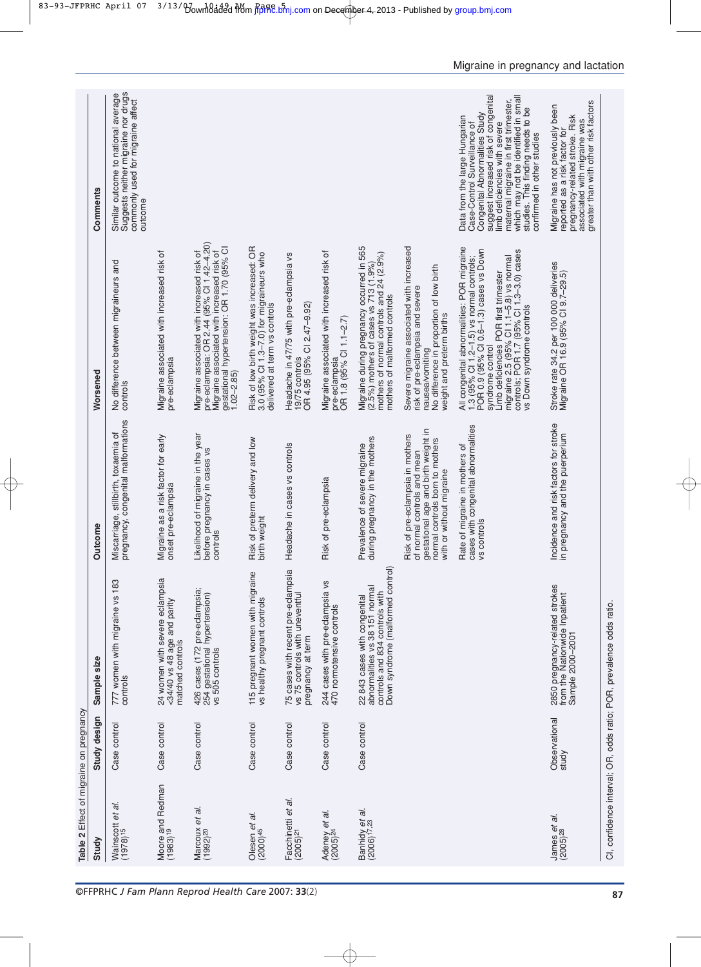|                                  |                                                   | Table 2 Effect of migraine on pregnancy |                                                                                                                                       |                                                                                                                                                                       |                                                                                                                                                                                                                                                                                                                   |                                                                                                                                                                                                                                                                                                                              |
|----------------------------------|---------------------------------------------------|-----------------------------------------|---------------------------------------------------------------------------------------------------------------------------------------|-----------------------------------------------------------------------------------------------------------------------------------------------------------------------|-------------------------------------------------------------------------------------------------------------------------------------------------------------------------------------------------------------------------------------------------------------------------------------------------------------------|------------------------------------------------------------------------------------------------------------------------------------------------------------------------------------------------------------------------------------------------------------------------------------------------------------------------------|
| Study                            |                                                   | Study design                            | Sample size                                                                                                                           | Outcome                                                                                                                                                               | Worsened                                                                                                                                                                                                                                                                                                          | Comments                                                                                                                                                                                                                                                                                                                     |
|                                  | ā.<br>Wainscott <i>et</i> a<br>$(1978)^{15}$      | Case control                            | 183<br>777 women with migraine vs<br>controls                                                                                         | pregnancy, congenital malformations<br>Miscarriage, stillbirth, toxaemia of                                                                                           | No difference between migraineurs and<br>controls                                                                                                                                                                                                                                                                 | Suggests neither migraine nor drugs<br>Similar outcome to national average<br>commonly used for migraine affect<br>outcome                                                                                                                                                                                                   |
|                                  | Moore and Redman<br>(1983) <sup>19</sup>          | Case control                            | 24 women with severe eclampsia<br><34/40 vs 48 age and parity<br>matched controls                                                     | Migraine as a risk factor for early<br>onset pre-eclampsia                                                                                                            | Migraine associated with increased risk of<br>pre-eclampsia                                                                                                                                                                                                                                                       |                                                                                                                                                                                                                                                                                                                              |
| Marcoux<br>(1992) <sup>20</sup>  | et al.                                            | Case control                            | 426 cases (172 pre-eclampsia;<br>254 gestational hypertension)<br>vs 505 controls                                                     | Likelihood of migraine in the year<br>before pregnancy in cases vs<br>controls                                                                                        | pre-eclampsia: OR 2.44 (95% Cl 1.42-4.20)<br>gestational hypertension: OR 1.70 (95% CI<br>Migraine associated with increased risk of<br>Migraine associated with increased risk of<br>$1.02 - 2.85$                                                                                                               |                                                                                                                                                                                                                                                                                                                              |
|                                  | Olesen <i>et al.</i><br>$(2000)^{45}$             | Case control                            | 115 pregnant women with migraine<br>vs healthy pregnant controls                                                                      | Risk of preterm delivery and low<br>birth weight                                                                                                                      | Risk of low birth weight was increased: OR<br>3.0 (95% CI 1.3–7.0) for migraineurs who<br>delivered at term vs controls                                                                                                                                                                                           |                                                                                                                                                                                                                                                                                                                              |
|                                  | Facchinetti <i>et al.</i><br>(2005) <sup>21</sup> | Case control                            | 75 cases with recent pre-eclampsia<br>vs 75 controls with uneventful<br>pregnancy at term                                             | Headache in cases vs controls                                                                                                                                         | Headache in 47/75 with pre-eclampsia vs<br>OR 4.95 (95% CI 2.47-9.92)<br>19/75 controls                                                                                                                                                                                                                           |                                                                                                                                                                                                                                                                                                                              |
|                                  | Adeney <i>et al.</i><br>(2005) <sup>24</sup>      | Case control                            | 244 cases with pre-eclampsia vs<br>470 normotensive controls                                                                          | Risk of pre-eclampsia                                                                                                                                                 | Migraine associated with increased risk of<br>OR 1.8 (95% CI 1.1-2.7)<br>pre-eclampsia                                                                                                                                                                                                                            |                                                                                                                                                                                                                                                                                                                              |
|                                  | Banhidy <i>et al.</i><br>(2006) <sup>17,23</sup>  | Case control                            | Down syndrome (malformed control)<br>abnormalities vs 38 151 normal<br>controls and 834 controls with<br>22 843 cases with congenital | Prevalence of severe migraine<br>during pregnancy in the mothers                                                                                                      | Migraine during pregnancy occurred in 565<br>$(2.5%)$ mothers of cases vs 713 $(1.9%)$<br>mothers of normal controls and 24 $(2.9%)$<br>mothers of malformed controls                                                                                                                                             |                                                                                                                                                                                                                                                                                                                              |
|                                  |                                                   |                                         |                                                                                                                                       | gestational age and birth weight in<br>Risk of pre-eclampsia in mothers<br>normal controls born to mothers<br>of normal controls and mean<br>with or without migraine | Severe migraine associated with increased<br>No difference in proportion of low birth<br>risk of pre-eclampsia and severe<br>weight and preterm births<br>nausea/vomiting                                                                                                                                         |                                                                                                                                                                                                                                                                                                                              |
|                                  |                                                   |                                         |                                                                                                                                       | cases with congenital abnormalities<br>Rate of migraine in mothers of<br>vs controls                                                                                  | All congenital abnormalities: POR migraine<br>1.3 (95% Cl 1.2-1.5) vs normal controls;<br>POR 0.9 (95% Cl 0.6-1.3) cases vs Down<br>migraine 2.5 (95% CI 1.1–5.8) vs normal<br>controls; POR 1.7 (95% CI 1.3–3.0) cases<br>Limb deficiencies POR first trimester<br>vs Down syndrome controls<br>syndrome control | suggest increased risk of congenital<br>which may not be identified in small<br>maternal migraine in first trimester,<br>studies. This finding needs to be<br>Congenital Abnormalities Study<br>Data from the large Hungarian<br>Case-Control Surveillance of<br>limb deficiencies with severe<br>confirmed in other studies |
| James <i>et</i><br>$(2005)^{28}$ | āl.                                               | Observational<br>study                  | 2850 pregnancy-related strokes<br>from the Nationwide Inpatient<br>Sample 2000-2001                                                   | Incidence and risk factors for stroke<br>in pregnancy and the puerperium                                                                                              | Stroke rate 34.2 per 100 000 deliveries<br>Migraine OR 16.9 (95% Cl 9.7-29.5)                                                                                                                                                                                                                                     | associated with migraine was<br>greater than with other risk factors<br>Migraine has not previously been<br>pregnancy-related stroke. Risk<br>reported as a risk factor for                                                                                                                                                  |
|                                  |                                                   |                                         | CI, confidence interval; OR, odds ratio; POR, prevalence odds ratio.                                                                  |                                                                                                                                                                       |                                                                                                                                                                                                                                                                                                                   |                                                                                                                                                                                                                                                                                                                              |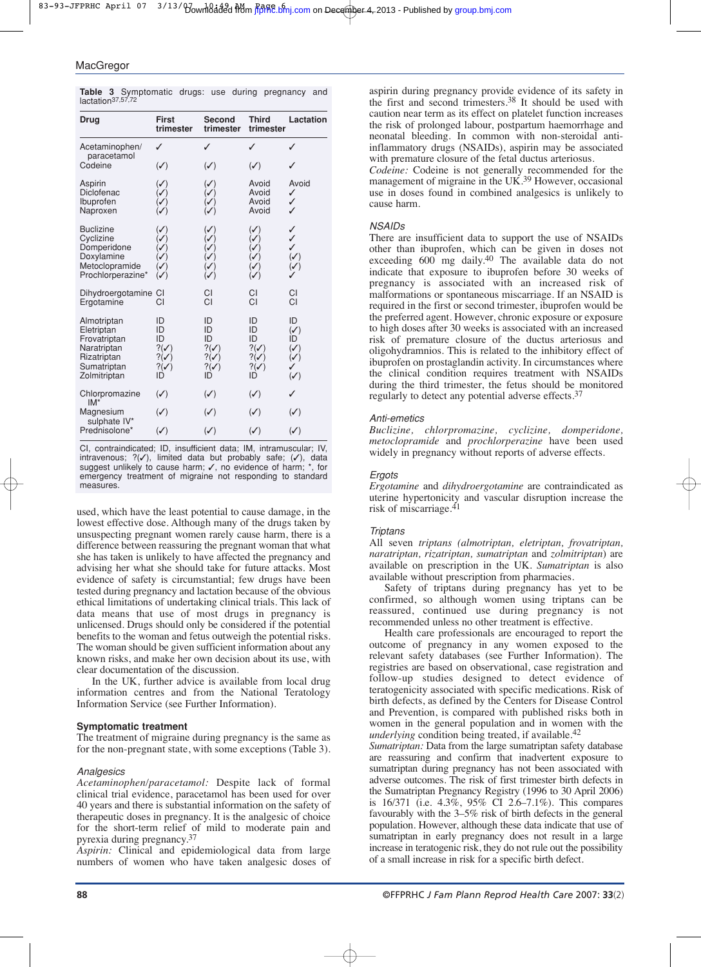| Drug                                | <b>First</b><br>trimester          | <b>Second</b><br>trimester         | <b>Third</b><br>trimester          | Lactation                                               |
|-------------------------------------|------------------------------------|------------------------------------|------------------------------------|---------------------------------------------------------|
| Acetaminophen/<br>paracetamol       | ✓                                  | ✓                                  | ✓                                  | ✓                                                       |
| Codeine                             | $(\checkmark)$                     | $(\checkmark)$                     | $(\checkmark)$                     | ✓                                                       |
| Aspirin<br>Diclofenac               | $\sqrt{}$<br>$\checkmark$          | $(\checkmark)$<br>$\mathcal{S}$    | Avoid<br>Avoid                     | Avoid<br>✓                                              |
| Ibuprofen<br>Naproxen               |                                    | $\mathcal{S}$<br>$(\mathcal{S})$   | Avoid<br>Avoid                     | ✓<br>✓                                                  |
| <b>Buclizine</b>                    | $\checkmark$                       | $(\checkmark)$                     | $(\checkmark)$                     | ✓                                                       |
| Cyclizine<br>Domperidone            | ✓                                  | ✓                                  | ✓                                  | ✓<br>✓                                                  |
| Doxylamine                          |                                    |                                    | ✓                                  | $\sqrt{}$                                               |
| Metoclopramide<br>Prochlorperazine* | ✓<br>$(\mathcal{S})$               |                                    |                                    | $(\checkmark)$                                          |
| Dihydroergotamine CI<br>Ergotamine  | СI                                 | CI<br>CI                           | CI<br>CI                           | CI<br>CI                                                |
| Almotriptan                         | ID                                 | ID                                 | ID                                 | ID                                                      |
| Eletriptan<br>Frovatriptan          | ID<br>ID                           | ID<br>ID                           | ID<br>ID                           | $(\checkmark)$<br>ID                                    |
| Naratriptan<br>Rizatriptan          | $?(\checkmark)$<br>$?(\checkmark)$ | $?(\checkmark)$<br>$?(\checkmark)$ | $?(\checkmark)$<br>$?(\checkmark)$ | $\begin{pmatrix} \checkmark \ \checkmark \end{pmatrix}$ |
| Sumatriptan<br>Zolmitriptan         | $?(\checkmark)$<br>ID              | $?(\checkmark)$<br>ID              | $?(\checkmark)$<br>ID              | $(\checkmark)$                                          |
| Chlorpromazine<br>$IM*$             | $(\checkmark)$                     | $(\checkmark)$                     | $(\checkmark)$                     | ✓                                                       |
| Magnesium                           | $(\checkmark)$                     | $(\checkmark)$                     | $(\checkmark)$                     | $(\checkmark)$                                          |
| sulphate IV*<br>Prednisolone*       | $(\checkmark)$                     | $(\checkmark)$                     | $(\checkmark)$                     | $(\checkmark)$                                          |

**Table 3** Symptomatic drugs: use during pregnancy and lactation<sup>37,57,72</sup>

CI, contraindicated; ID, insufficient data; IM, intramuscular; IV, intravenous; ?(✓), limited data but probably safe; (✓), data suggest unlikely to cause harm; ✓, no evidence of harm; \*, for emergency treatment of migraine not responding to standard measures.

used, which have the least potential to cause damage, in the lowest effective dose. Although many of the drugs taken by unsuspecting pregnant women rarely cause harm, there is a difference between reassuring the pregnant woman that what she has taken is unlikely to have affected the pregnancy and advising her what she should take for future attacks. Most evidence of safety is circumstantial; few drugs have been tested during pregnancy and lactation because of the obvious ethical limitations of undertaking clinical trials. This lack of data means that use of most drugs in pregnancy is unlicensed. Drugs should only be considered if the potential benefits to the woman and fetus outweigh the potential risks. The woman should be given sufficient information about any known risks, and make her own decision about its use, with clear documentation of the discussion.

In the UK, further advice is available from local drug information centres and from the National Teratology Information Service (see Further Information).

#### **Symptomatic treatment**

The treatment of migraine during pregnancy is the same as for the non-pregnant state, with some exceptions (Table 3).

#### *Analgesics*

*Acetaminophen/paracetamol:* Despite lack of formal clinical trial evidence, paracetamol has been used for over 40 years and there is substantial information on the safety of therapeutic doses in pregnancy. It is the analgesic of choice for the short-term relief of mild to moderate pain and pyrexia during pregnancy.37

*Aspirin:* Clinical and epidemiological data from large numbers of women who have taken analgesic doses of aspirin during pregnancy provide evidence of its safety in the first and second trimesters.<sup>38</sup> It should be used with caution near term as its effect on platelet function increases the risk of prolonged labour, postpartum haemorrhage and neonatal bleeding. In common with non-steroidal antiinflammatory drugs (NSAIDs), aspirin may be associated with premature closure of the fetal ductus arteriosus.

*Codeine:* Codeine is not generally recommended for the management of migraine in the UK.<sup>39</sup> However, occasional use in doses found in combined analgesics is unlikely to cause harm.

## *NSAIDs*

There are insufficient data to support the use of NSAIDs other than ibuprofen, which can be given in doses not exceeding 600 mg daily.<sup>40</sup> The available data do not indicate that exposure to ibuprofen before 30 weeks of pregnancy is associated with an increased risk of malformations or spontaneous miscarriage. If an NSAID is required in the first or second trimester, ibuprofen would be the preferred agent. However, chronic exposure or exposure to high doses after 30 weeks is associated with an increased risk of premature closure of the ductus arteriosus and oligohydramnios. This is related to the inhibitory effect of ibuprofen on prostaglandin activity. In circumstances where the clinical condition requires treatment with NSAIDs during the third trimester, the fetus should be monitored regularly to detect any potential adverse effects.37

#### *Anti-emetics*

*Buclizine, chlorpromazine, cyclizine, domperidone, metoclopramide* and *prochlorperazine* have been used widely in pregnancy without reports of adverse effects.

#### *Ergots*

*Ergotamine* and *dihydroergotamine* are contraindicated as uterine hypertonicity and vascular disruption increase the risk of miscarriage.41

### *Triptans*

All seven *triptans (almotriptan, eletriptan, frovatriptan, naratriptan, rizatriptan, sumatriptan* and *zolmitriptan*) are available on prescription in the UK. *Sumatriptan* is also available without prescription from pharmacies.

Safety of triptans during pregnancy has yet to be confirmed, so although women using triptans can be reassured, continued use during pregnancy is not recommended unless no other treatment is effective.

Health care professionals are encouraged to report the outcome of pregnancy in any women exposed to the relevant safety databases (see Further Information). The registries are based on observational, case registration and follow-up studies designed to detect evidence of teratogenicity associated with specific medications. Risk of birth defects, as defined by the Centers for Disease Control and Prevention, is compared with published risks both in women in the general population and in women with the *underlying* condition being treated, if available.<sup>42</sup>

*Sumatriptan:* Data from the large sumatriptan safety database are reassuring and confirm that inadvertent exposure to sumatriptan during pregnancy has not been associated with adverse outcomes. The risk of first trimester birth defects in the Sumatriptan Pregnancy Registry (1996 to 30 April 2006) is 16/371 (i.e. 4.3%, 95% CI 2.6–7.1%). This compares favourably with the 3–5% risk of birth defects in the general population. However, although these data indicate that use of sumatriptan in early pregnancy does not result in a large increase in teratogenic risk, they do not rule out the possibility of a small increase in risk for a specific birth defect.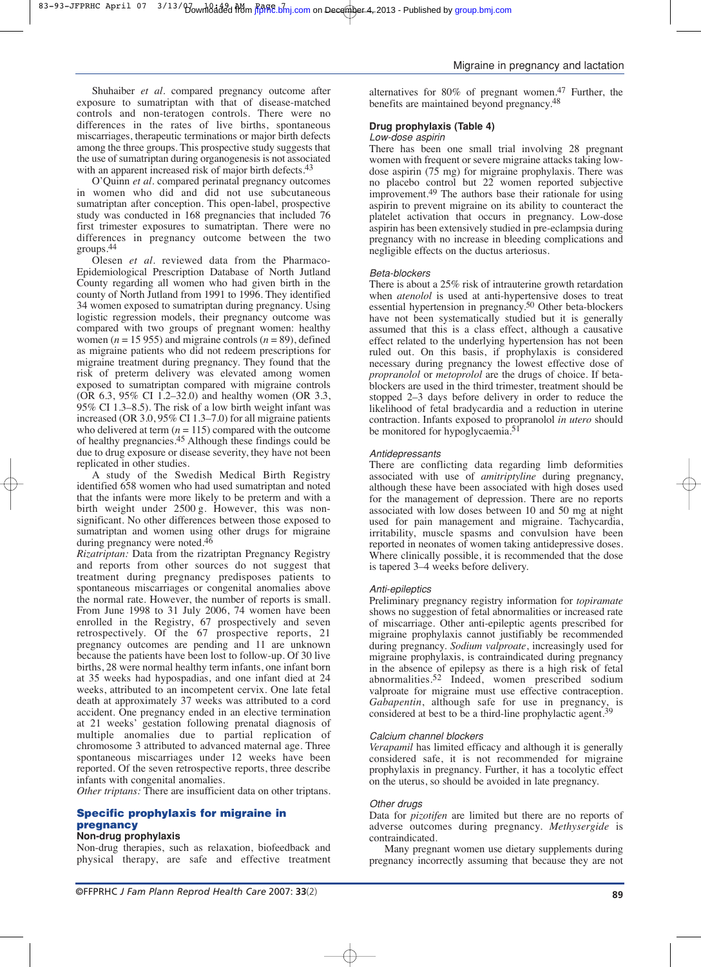O'Quinn *et al*. compared perinatal pregnancy outcomes in women who did and did not use subcutaneous sumatriptan after conception. This open-label, prospective study was conducted in 168 pregnancies that included 76 first trimester exposures to sumatriptan. There were no differences in pregnancy outcome between the two groups.44

Olesen *et al*. reviewed data from the Pharmaco-Epidemiological Prescription Database of North Jutland County regarding all women who had given birth in the county of North Jutland from 1991 to 1996. They identified 34 women exposed to sumatriptan during pregnancy. Using logistic regression models, their pregnancy outcome was compared with two groups of pregnant women: healthy women ( $n = 15955$ ) and migraine controls ( $n = 89$ ), defined as migraine patients who did not redeem prescriptions for migraine treatment during pregnancy. They found that the risk of preterm delivery was elevated among women exposed to sumatriptan compared with migraine controls (OR 6.3, 95% CI 1.2–32.0) and healthy women (OR 3.3, 95% CI 1.3–8.5). The risk of a low birth weight infant was increased (OR 3.0, 95% CI 1.3–7.0) for all migraine patients who delivered at term  $(n = 115)$  compared with the outcome of healthy pregnancies.45 Although these findings could be due to drug exposure or disease severity, they have not been replicated in other studies.

A study of the Swedish Medical Birth Registry identified 658 women who had used sumatriptan and noted that the infants were more likely to be preterm and with a birth weight under  $2500 g$ . However, this was nonsignificant. No other differences between those exposed to sumatriptan and women using other drugs for migraine during pregnancy were noted. $46$ 

*Rizatriptan:* Data from the rizatriptan Pregnancy Registry and reports from other sources do not suggest that treatment during pregnancy predisposes patients to spontaneous miscarriages or congenital anomalies above the normal rate. However, the number of reports is small. From June 1998 to 31 July 2006, 74 women have been enrolled in the Registry, 67 prospectively and seven retrospectively. Of the 67 prospective reports, 21 pregnancy outcomes are pending and 11 are unknown because the patients have been lost to follow-up. Of 30 live births, 28 were normal healthy term infants, one infant born at 35 weeks had hypospadias, and one infant died at 24 weeks, attributed to an incompetent cervix. One late fetal death at approximately 37 weeks was attributed to a cord accident. One pregnancy ended in an elective termination at 21 weeks' gestation following prenatal diagnosis of multiple anomalies due to partial replication of chromosome 3 attributed to advanced maternal age. Three spontaneous miscarriages under 12 weeks have been reported. Of the seven retrospective reports, three describe infants with congenital anomalies.

*Other triptans:* There are insufficient data on other triptans.

## **Specific prophylaxis for migraine in pregnancy**

#### **Non-drug prophylaxis**

Non-drug therapies, such as relaxation, biofeedback and physical therapy, are safe and effective treatment alternatives for 80% of pregnant women.47 Further, the benefits are maintained beyond pregnancy.48

## **Drug prophylaxis (Table 4)**

#### *Low-dose aspirin*

There has been one small trial involving 28 pregnant women with frequent or severe migraine attacks taking lowdose aspirin  $(75 \text{ mg})$  for migraine prophylaxis. There was no placebo control but 22 women reported subjective improvement.49 The authors base their rationale for using aspirin to prevent migraine on its ability to counteract the platelet activation that occurs in pregnancy. Low-dose aspirin has been extensively studied in pre-eclampsia during pregnancy with no increase in bleeding complications and negligible effects on the ductus arteriosus.

#### *Beta-blockers*

There is about a 25% risk of intrauterine growth retardation when *atenolol* is used at anti-hypertensive doses to treat essential hypertension in pregnancy.50 Other beta-blockers have not been systematically studied but it is generally assumed that this is a class effect, although a causative effect related to the underlying hypertension has not been ruled out. On this basis, if prophylaxis is considered necessary during pregnancy the lowest effective dose of *propranolol* or *metoprolol* are the drugs of choice. If betablockers are used in the third trimester, treatment should be stopped 2–3 days before delivery in order to reduce the likelihood of fetal bradycardia and a reduction in uterine contraction. Infants exposed to propranolol *in utero* should be monitored for hypoglycaemia.<sup>51</sup>

#### *Antidepressants*

There are conflicting data regarding limb deformities associated with use of *amitriptyline* during pregnancy, although these have been associated with high doses used for the management of depression. There are no reports associated with low doses between 10 and 50 mg at night used for pain management and migraine. Tachycardia, irritability, muscle spasms and convulsion have been reported in neonates of women taking antidepressive doses. Where clinically possible, it is recommended that the dose is tapered 3–4 weeks before delivery.

#### *Anti-epileptics*

Preliminary pregnancy registry information for *topiramate* shows no suggestion of fetal abnormalities or increased rate of miscarriage. Other anti-epileptic agents prescribed for migraine prophylaxis cannot justifiably be recommended during pregnancy. *Sodium valproate*, increasingly used for migraine prophylaxis, is contraindicated during pregnancy in the absence of epilepsy as there is a high risk of fetal abnormalities.52 Indeed, women prescribed sodium valproate for migraine must use effective contraception. *Gabapentin*, although safe for use in pregnancy, is considered at best to be a third-line prophylactic agent.<sup>39</sup>

#### *Calcium channel blockers*

*Verapamil* has limited efficacy and although it is generally considered safe, it is not recommended for migraine prophylaxis in pregnancy. Further, it has a tocolytic effect on the uterus, so should be avoided in late pregnancy.

#### *Other drugs*

Data for *pizotifen* are limited but there are no reports of adverse outcomes during pregnancy. *Methysergide* is contraindicated.

Many pregnant women use dietary supplements during pregnancy incorrectly assuming that because they are not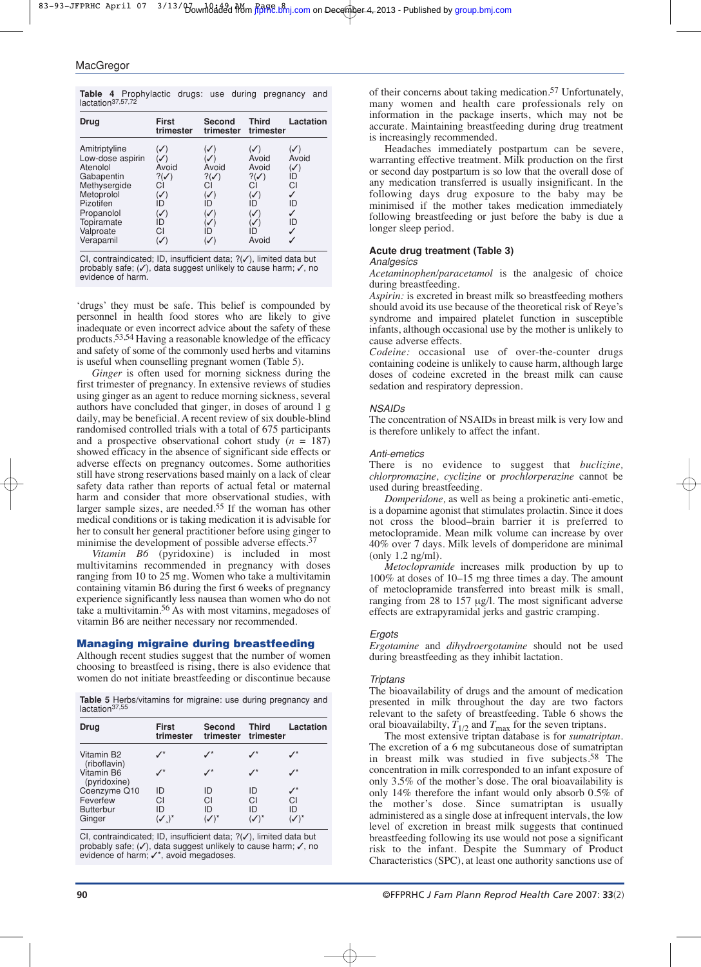|                               | <b>Table 4</b> Prophylactic drugs: use during pregnancy and |  |  |  |
|-------------------------------|-------------------------------------------------------------|--|--|--|
| lactation <sup>37,57,72</sup> |                                                             |  |  |  |

| Drug                                                                                                                                                         | First<br>trimester                                                                   | Second<br>trimester                                                | <b>Third</b><br>trimester                                                                                 | Lactation                                                                       |
|--------------------------------------------------------------------------------------------------------------------------------------------------------------|--------------------------------------------------------------------------------------|--------------------------------------------------------------------|-----------------------------------------------------------------------------------------------------------|---------------------------------------------------------------------------------|
| Amitriptyline<br>Low-dose aspirin<br>Atenolol<br>Gabapentin<br>Methysergide<br>Metoprolol<br>Pizotifen<br>Propanolol<br>Topiramate<br>Valproate<br>Verapamil | Avoid<br>$?(\checkmark)$<br>СI<br>$(\checkmark)$<br>ID<br>$(\checkmark)$<br>ID<br>CI | Avoid<br>$?(\checkmark)$<br>CI<br>$(\mathcal{S})$<br>ID<br>✓<br>ID | $\checkmark$<br>Avoid<br>Avoid<br>$?(\checkmark)$<br>СI<br>$(\mathcal{S})$<br>ID<br>✓<br>✓<br>ID<br>Avoid | $\mathcal{S}$<br>Avoid<br>$(\checkmark)$<br>ID<br>CI<br>✓<br>ID<br>✓<br>ID<br>✓ |

CI, contraindicated; ID, insufficient data; ?(✓), limited data but probably safe; (✓), data suggest unlikely to cause harm; ✓, no evidence of harm.

'drugs' they must be safe. This belief is compounded by personnel in health food stores who are likely to give inadequate or even incorrect advice about the safety of these products.53,54 Having a reasonable knowledge of the efficacy and safety of some of the commonly used herbs and vitamins is useful when counselling pregnant women (Table 5).

*Ginger* is often used for morning sickness during the first trimester of pregnancy. In extensive reviews of studies using ginger as an agent to reduce morning sickness, several authors have concluded that ginger, in doses of around 1 g daily, may be beneficial. A recent review of six double-blind randomised controlled trials with a total of 675 participants and a prospective observational cohort study  $(n = 187)$ showed efficacy in the absence of significant side effects or adverse effects on pregnancy outcomes. Some authorities still have strong reservations based mainly on a lack of clear safety data rather than reports of actual fetal or maternal harm and consider that more observational studies, with larger sample sizes, are needed.55 If the woman has other medical conditions or is taking medication it is advisable for her to consult her general practitioner before using ginger to minimise the development of possible adverse effects.<sup>37</sup>

*Vitamin B6* (pyridoxine) is included in most multivitamins recommended in pregnancy with doses ranging from 10 to 25 mg. Women who take a multivitamin containing vitamin B6 during the first 6 weeks of pregnancy experience significantly less nausea than women who do not take a multivitamin.56 As with most vitamins, megadoses of vitamin B6 are neither necessary nor recommended.

#### **Managing migraine during breastfeeding**

Although recent studies suggest that the number of women choosing to breastfeed is rising, there is also evidence that women do not initiate breastfeeding or discontinue because

**Table 5** Herbs/vitamins for migraine: use during pregnancy and lactation37,55

| Drug                                                   | <b>First</b><br>trimester | <b>Second</b><br>trimester | <b>Third</b><br>trimester | Lactation |
|--------------------------------------------------------|---------------------------|----------------------------|---------------------------|-----------|
| Vitamin B <sub>2</sub><br>(riboflavin)                 |                           |                            |                           |           |
| Vitamin B6<br>(pyridoxine)                             | $\mathcal{I}^*$           |                            | $\boldsymbol{I}^{\star}$  |           |
| Coenzyme Q10<br>Feverfew<br><b>Butterbur</b><br>Ginger | ID<br>CI<br>ID            | ID<br>CI<br>ID             | ID<br>СI<br>ID            | CI<br>ID  |

CI, contraindicated; ID, insufficient data; ?(✓), limited data but probably safe; (✓), data suggest unlikely to cause harm; ✓, no evidence of harm;  $checkmark$ , avoid megadoses.

of their concerns about taking medication.57 Unfortunately, many women and health care professionals rely on information in the package inserts, which may not be accurate. Maintaining breastfeeding during drug treatment is increasingly recommended.

Headaches immediately postpartum can be severe, warranting effective treatment. Milk production on the first or second day postpartum is so low that the overall dose of any medication transferred is usually insignificant. In the following days drug exposure to the baby may be minimised if the mother takes medication immediately following breastfeeding or just before the baby is due a longer sleep period.

#### **Acute drug treatment (Table 3)**

#### *Analgesics*

*Acetaminophen/paracetamol* is the analgesic of choice during breastfeeding.

*Aspirin:* is excreted in breast milk so breastfeeding mothers should avoid its use because of the theoretical risk of Reye's syndrome and impaired platelet function in susceptible infants, although occasional use by the mother is unlikely to cause adverse effects.

*Codeine:* occasional use of over-the-counter drugs containing codeine is unlikely to cause harm, although large doses of codeine excreted in the breast milk can cause sedation and respiratory depression.

#### *NSAIDs*

The concentration of NSAIDs in breast milk is very low and is therefore unlikely to affect the infant.

#### *Anti-emetics*

There is no evidence to suggest that *buclizine, chlorpromazine, cyclizine* or *prochlorperazine* cannot be used during breastfeeding.

*Domperidone,* as well as being a prokinetic anti-emetic, is a dopamine agonist that stimulates prolactin. Since it does not cross the blood–brain barrier it is preferred to metoclopramide. Mean milk volume can increase by over 40% over 7 days. Milk levels of domperidone are minimal (only 1.2 ng/ml).

*Metoclopramide* increases milk production by up to 100% at doses of 10–15 mg three times a day. The amount of metoclopramide transferred into breast milk is small, ranging from 28 to 157 µg/l. The most significant adverse effects are extrapyramidal jerks and gastric cramping.

#### *Ergots*

*Ergotamine* and *dihydroergotamine* should not be used during breastfeeding as they inhibit lactation.

#### *Triptans*

The bioavailability of drugs and the amount of medication presented in milk throughout the day are two factors relevant to the safety of breastfeeding. Table 6 shows the oral bioavailabilty,  $T_{1/2}$  and  $T_{\text{max}}$  for the seven triptans.

The most extensive triptan database is for *sumatriptan*. The excretion of a 6 mg subcutaneous dose of sumatriptan in breast milk was studied in five subjects.58 The concentration in milk corresponded to an infant exposure of only 3.5% of the mother's dose. The oral bioavailability is only 14% therefore the infant would only absorb 0.5% of the mother's dose. Since sumatriptan is usually administered as a single dose at infrequent intervals, the low level of excretion in breast milk suggests that continued breastfeeding following its use would not pose a significant risk to the infant. Despite the Summary of Product Characteristics (SPC), at least one authority sanctions use of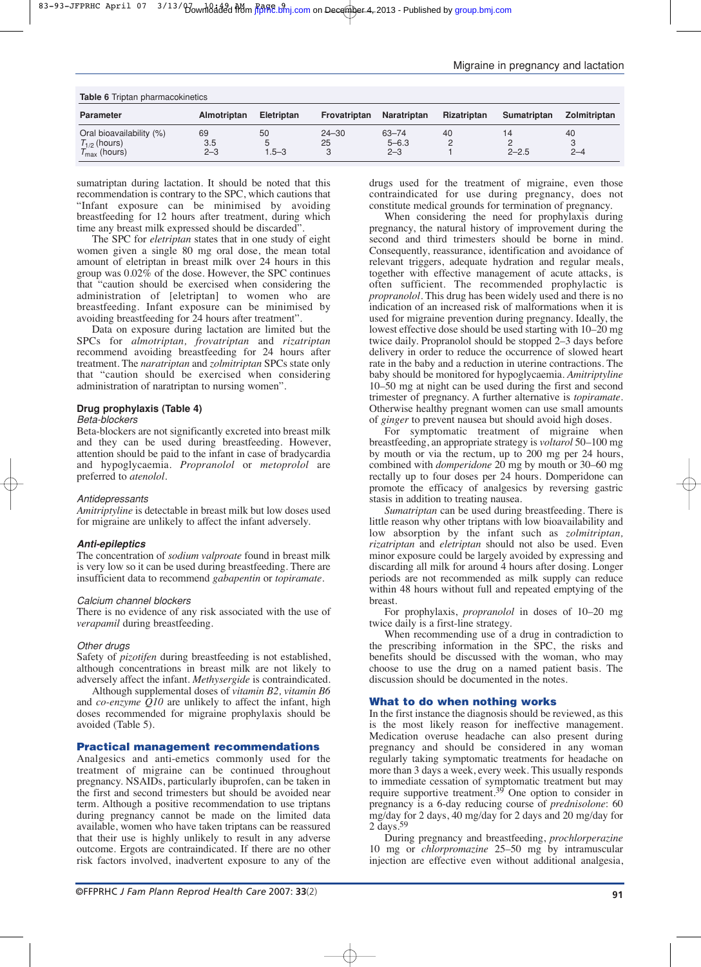| <b>Table 6</b> Triptan pharmacokinetics                                |                      |                      |                      |                               |                    |                 |                    |
|------------------------------------------------------------------------|----------------------|----------------------|----------------------|-------------------------------|--------------------|-----------------|--------------------|
| <b>Parameter</b>                                                       | Almotriptan          | Eletriptan           | Frovatriptan         | Naratriptan                   | <b>Rizatriptan</b> | Sumatriptan     | Zolmitriptan       |
| Oral bioavailability (%)<br>$T_{1/2}$ (hours)<br>$T_{\sf max}$ (hours) | 69<br>3.5<br>$2 - 3$ | 50<br>5<br>$1.5 - 3$ | $24 - 30$<br>25<br>3 | 63-74<br>$5 - 6.3$<br>$2 - 3$ | 40                 | 14<br>$2 - 2.5$ | 40<br>3<br>$2 - 4$ |

sumatriptan during lactation. It should be noted that this recommendation is contrary to the SPC, which cautions that "Infant exposure can be minimised by avoiding breastfeeding for 12 hours after treatment, during which time any breast milk expressed should be discarded".

The SPC for *eletriptan* states that in one study of eight women given a single 80 mg oral dose, the mean total amount of eletriptan in breast milk over 24 hours in this group was 0.02% of the dose. However, the SPC continues that "caution should be exercised when considering the administration of [eletriptan] to women who are breastfeeding. Infant exposure can be minimised by avoiding breastfeeding for 24 hours after treatment".

Data on exposure during lactation are limited but the SPCs for *almotriptan, frovatriptan* and *rizatriptan* recommend avoiding breastfeeding for 24 hours after treatment. The *naratriptan* and *zolmitriptan* SPCs state only that "caution should be exercised when considering administration of naratriptan to nursing women".

#### **Drug prophylaxis (Table 4)**

#### *Beta-blockers*

Beta-blockers are not significantly excreted into breast milk and they can be used during breastfeeding. However, attention should be paid to the infant in case of bradycardia and hypoglycaemia. *Propranolol* or *metoprolol* are preferred to *atenolol.*

#### *Antidepressants*

*Amitriptyline* is detectable in breast milk but low doses used for migraine are unlikely to affect the infant adversely.

#### *Anti-epileptics*

The concentration of *sodium valproate* found in breast milk is very low so it can be used during breastfeeding. There are insufficient data to recommend *gabapentin* or *topiramate*.

#### *Calcium channel blockers*

There is no evidence of any risk associated with the use of *verapamil* during breastfeeding.

#### *Other drugs*

Safety of *pizotifen* during breastfeeding is not established, although concentrations in breast milk are not likely to adversely affect the infant. *Methysergide* is contraindicated.

Although supplemental doses of *vitamin B2, vitamin B6* and *co-enzyme Q10* are unlikely to affect the infant, high doses recommended for migraine prophylaxis should be avoided (Table 5).

#### **Practical management recommendations**

Analgesics and anti-emetics commonly used for the treatment of migraine can be continued throughout pregnancy. NSAIDs, particularly ibuprofen, can be taken in the first and second trimesters but should be avoided near term. Although a positive recommendation to use triptans during pregnancy cannot be made on the limited data available, women who have taken triptans can be reassured that their use is highly unlikely to result in any adverse outcome. Ergots are contraindicated. If there are no other risk factors involved, inadvertent exposure to any of the drugs used for the treatment of migraine, even those contraindicated for use during pregnancy, does not constitute medical grounds for termination of pregnancy.

When considering the need for prophylaxis during pregnancy, the natural history of improvement during the second and third trimesters should be borne in mind. Consequently, reassurance, identification and avoidance of relevant triggers, adequate hydration and regular meals, together with effective management of acute attacks, is often sufficient. The recommended prophylactic is *propranolol*. This drug has been widely used and there is no indication of an increased risk of malformations when it is used for migraine prevention during pregnancy. Ideally, the lowest effective dose should be used starting with 10–20 mg twice daily. Propranolol should be stopped 2–3 days before delivery in order to reduce the occurrence of slowed heart rate in the baby and a reduction in uterine contractions. The baby should be monitored for hypoglycaemia. *Amitriptyline* 10–50 mg at night can be used during the first and second trimester of pregnancy. A further alternative is *topiramate*. Otherwise healthy pregnant women can use small amounts of *ginger* to prevent nausea but should avoid high doses.

For symptomatic treatment of migraine when breastfeeding, an appropriate strategy is *voltarol* 50–100 mg by mouth or via the rectum, up to 200 mg per 24 hours, combined with *domperidone* 20 mg by mouth or 30–60 mg rectally up to four doses per 24 hours. Domperidone can promote the efficacy of analgesics by reversing gastric stasis in addition to treating nausea.

*Sumatriptan* can be used during breastfeeding. There is little reason why other triptans with low bioavailability and low absorption by the infant such as *zolmitriptan, rizatriptan* and *eletriptan* should not also be used. Even minor exposure could be largely avoided by expressing and discarding all milk for around 4 hours after dosing. Longer periods are not recommended as milk supply can reduce within 48 hours without full and repeated emptying of the breast.

For prophylaxis, *propranolol* in doses of 10–20 mg twice daily is a first-line strategy.

When recommending use of a drug in contradiction to the prescribing information in the SPC, the risks and benefits should be discussed with the woman, who may choose to use the drug on a named patient basis. The discussion should be documented in the notes.

## **What to do when nothing works**

In the first instance the diagnosis should be reviewed, as this is the most likely reason for ineffective management. Medication overuse headache can also present during pregnancy and should be considered in any woman regularly taking symptomatic treatments for headache on more than 3 days a week, every week. This usually responds to immediate cessation of symptomatic treatment but may require supportive treatment.39 One option to consider in pregnancy is a 6-day reducing course of *prednisolone*: 60 mg/day for 2 days, 40 mg/day for 2 days and 20 mg/day for 2 days.59

During pregnancy and breastfeeding, *prochlorperazine* 10 mg or *chlorpromazine* 25–50 mg by intramuscular injection are effective even without additional analgesia,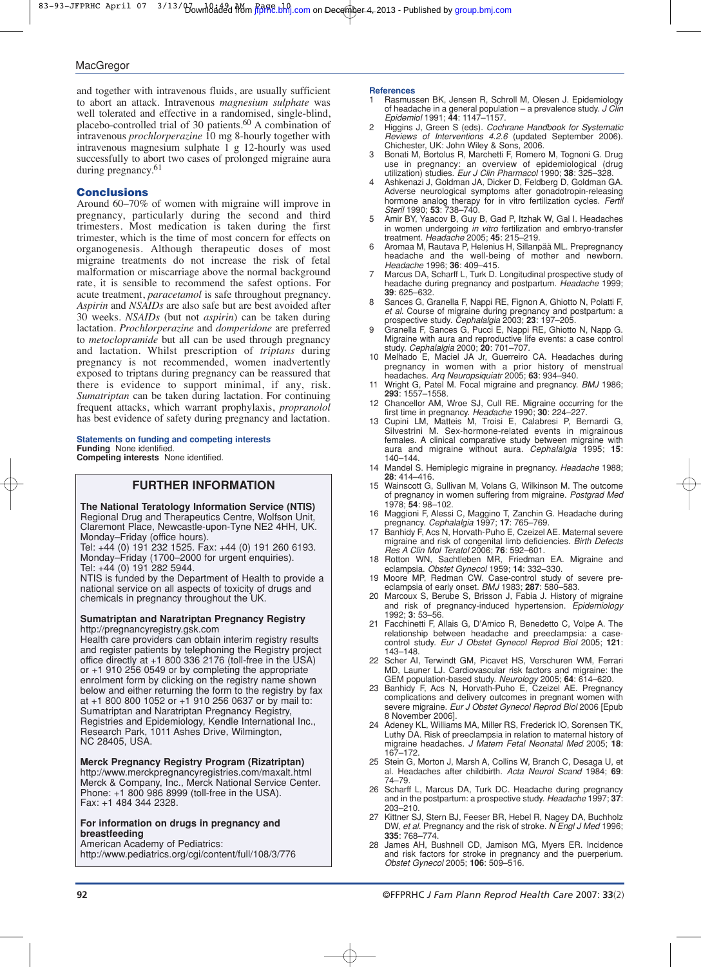and together with intravenous fluids, are usually sufficient to abort an attack. Intravenous *magnesium sulphate* was well tolerated and effective in a randomised, single-blind, placebo-controlled trial of 30 patients.<sup>60</sup> A combination of intravenous *prochlorperazine* 10 mg 8-hourly together with intravenous magnesium sulphate 1 g 12-hourly was used successfully to abort two cases of prolonged migraine aura during pregnancy.61

#### **Conclusions**

Around 60–70% of women with migraine will improve in pregnancy, particularly during the second and third trimesters. Most medication is taken during the first trimester, which is the time of most concern for effects on organogenesis. Although therapeutic doses of most migraine treatments do not increase the risk of fetal malformation or miscarriage above the normal background rate, it is sensible to recommend the safest options. For acute treatment, *paracetamol* is safe throughout pregnancy. *Aspirin* and *NSAIDs* are also safe but are best avoided after 30 weeks. *NSAIDs* (but not *aspirin*) can be taken during lactation. *Prochlorperazine* and *domperidone* are preferred to *metoclopramide* but all can be used through pregnancy and lactation. Whilst prescription of *triptans* during pregnancy is not recommended, women inadvertently exposed to triptans during pregnancy can be reassured that there is evidence to support minimal, if any, risk. *Sumatriptan* can be taken during lactation. For continuing frequent attacks, which warrant prophylaxis, *propranolol* has best evidence of safety during pregnancy and lactation.

#### **Statements on funding and competing interests Funding** None identified.

**Competing interests** None identified.

## **FURTHER INFORMATION**

**The National Teratology Information Service (NTIS)** Regional Drug and Therapeutics Centre, Wolfson Unit, Claremont Place, Newcastle-upon-Tyne NE2 4HH, UK. Monday–Friday (office hours).

Tel: +44 (0) 191 232 1525. Fax: +44 (0) 191 260 6193. Monday–Friday (1700–2000 for urgent enquiries). Tel: +44 (0) 191 282 5944.

NTIS is funded by the Department of Health to provide a national service on all aspects of toxicity of drugs and chemicals in pregnancy throughout the UK.

#### **Sumatriptan and Naratriptan Pregnancy Registry** http://pregnancyregistry.gsk.com

Health care providers can obtain interim registry results and register patients by telephoning the Registry project office directly at +1 800 336 2176 (toll-free in the USA) or +1 910 256 0549 or by completing the appropriate enrolment form by clicking on the registry name shown below and either returning the form to the registry by fax at +1 800 800 1052 or +1 910 256 0637 or by mail to: Sumatriptan and Naratriptan Pregnancy Registry, Registries and Epidemiology, Kendle International Inc., Research Park, 1011 Ashes Drive, Wilmington, NC 28405, USA.

#### **Merck Pregnancy Registry Program (Rizatriptan)**

http://www.merckpregnancyregistries.com/maxalt.html Merck & Company, Inc., Merck National Service Center. Phone: +1 800 986 8999 (toll-free in the USA). Fax: +1 484 344 2328.

#### **For information on drugs in pregnancy and breastfeeding**

American Academy of Pediatrics:

http://www.pediatrics.org/cgi/content/full/108/3/776

#### **References**

- 1 Rasmussen BK, Jensen R, Schroll M, Olesen J. Epidemiology of headache in a general population – a prevalence study. *J Clin Epidemiol* 1991; **44**: 1147–1157.
- 2 Higgins J, Green S (eds). *Cochrane Handbook for Systematic Reviews of Interventions 4.2.6* (updated September 2006). Chichester, UK: John Wiley & Sons, 2006.
- 3 Bonati M, Bortolus R, Marchetti F, Romero M, Tognoni G. Drug use in pregnancy: an overview of epidemiological (drug utilization) studies. *Eur J Clin Pharmacol* 1990; **38**: 325–328.
- 4 Ashkenazi J, Goldman JA, Dicker D, Feldberg D, Goldman GA. Adverse neurological symptoms after gonadotropin-releasing hormone analog therapy for in vitro fertilization cycles. *Fertil Steril* 1990; **53**: 738–740.
- 5 Amir BY, Yaacov B, Guy B, Gad P, Itzhak W, Gal I. Headaches in women undergoing *in vitro* fertilization and embryo-transfer treatment. *Headache* 2005; **45**: 215–219.
- 6 Aromaa M, Rautava P, Helenius H, Sillanpää ML. Prepregnancy headache and the well-being of mother and newborn. *Headache* 1996; **36**: 409–415.
- 7 Marcus DA, Scharff L, Turk D. Longitudinal prospective study of headache during pregnancy and postpartum. *Headache* 1999; **39**: 625–632.
- 8 Sances G, Granella F, Nappi RE, Fignon A, Ghiotto N, Polatti F, *et al.* Course of migraine during pregnancy and postpartum: a prospective study. *Cephalalgia* 2003; **23**: 197–205.
- 9 Granella F, Sances G, Pucci E, Nappi RE, Ghiotto N, Napp G. Migraine with aura and reproductive life events: a case control study. *Cephalalgia* 2000; **20**: 701–707.
- 10 Melhado E, Maciel JA Jr, Guerreiro CA. Headaches during pregnancy in women with a prior history of menstrual headaches. *Arq Neuropsiquiatr* 2005; **63**: 934–940.
- 11 Wright G, Patel M. Focal migraine and pregnancy. *BMJ* 1986; **293**: 1557–1558.
- 12 Chancellor AM, Wroe SJ, Cull RE. Migraine occurring for the first time in pregnancy. *Headache* 1990; **30**: 224–227.
- 13 Cupini LM, Matteis M, Troisi E, Calabresi P, Bernardi G, Silvestrini M. Sex-hormone-related events in migrainous females. A clinical comparative study between migraine with aura and migraine without aura. *Cephalalgia* 1995; **15**: 140–144.
- 14 Mandel S. Hemiplegic migraine in pregnancy. *Headache* 1988; **28**: 414–416.
- 15 Wainscott G, Sullivan M, Volans G, Wilkinson M. The outcome of pregnancy in women suffering from migraine. *Postgrad Med* 1978; **54**: 98–102.
- 16 Maggioni F, Alessi C, Maggino T, Zanchin G. Headache during pregnancy. *Cephalalgia* 1997; **17**: 765–769.
- 17 Banhidy F, Acs N, Horvath-Puho E, Czeizel AE. Maternal severe migraine and risk of congenital limb deficiencies. *Birth Defects Res A Clin Mol Teratol* 2006; **76**: 592–601.
- 18 Rotton WN, Sachtleben MR, Friedman EA. Migraine and eclampsia. *Obstet Gynecol* 1959; **14**: 332–330.
- 19 Moore MP, Redman CW. Case-control study of severe preeclampsia of early onset. *BMJ* 1983; **287**: 580–583.
- 20 Marcoux S, Berube S, Brisson J, Fabia J. History of migraine and risk of pregnancy-induced hypertension. *Epidemiology* 1992; **3**: 53–56.
- Facchinetti F, Allais G, D'Amico R, Benedetto C, Volpe A. The relationship between headache and preeclampsia: a casecontrol study. *Eur J Obstet Gynecol Reprod Biol* 2005; **121**: 143–148.
- 22 Scher AI, Terwindt GM, Picavet HS, Verschuren WM, Ferrari MD, Launer LJ. Cardiovascular risk factors and migraine: the GEM population-based study. *Neurology* 2005; **64**: 614–620.
- 23 Banhidy F, Acs N, Horvath-Puho E, Czeizel AE. Pregnancy complications and delivery outcomes in pregnant women with severe migraine. *Eur J Obstet Gynecol Reprod Biol* 2006 [Epub 8 November 2006].
- Adeney KL, Williams MA, Miller RS, Frederick IO, Sorensen TK, Luthy DA. Risk of preeclampsia in relation to maternal history of migraine headaches. *J Matern Fetal Neonatal Med* 2005; **18**: 167–172.
- 25 Stein G, Morton J, Marsh A, Collins W, Branch C, Desaga U, et al. Headaches after childbirth. *Acta Neurol Scand* 1984; **69**: 74–79.
- 26 Scharff L, Marcus DA, Turk DC. Headache during pregnancy and in the postpartum: a prospective study. *Headache* 1997; **37**: 203–210.
- 27 Kittner SJ, Stern BJ, Feeser BR, Hebel R, Nagey DA, Buchholz DW, *et al*. Pregnancy and the risk of stroke. *N Engl J Med* 1996; **335**: 768–774.
- James AH, Bushnell CD, Jamison MG, Myers ER. Incidence and risk factors for stroke in pregnancy and the puerperium. *Obstet Gynecol* 2005; **106**: 509–516.

**92** ©FFPRHC *J Fam Plann Reprod Health Care* 2007: **33**(2)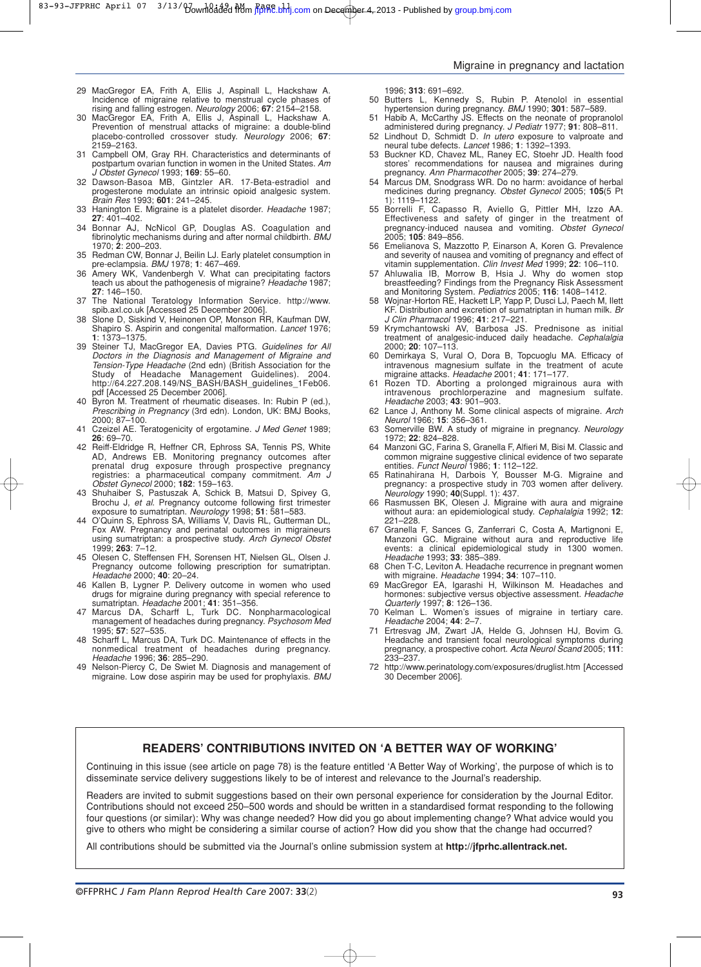83-93-JFPRHC April 07 3/13/bownloaded from jfppRE.bmj.com on December 4, 2013 - Published by [group.bmj.com](http://group.bmj.com/)

#### Migraine in pregnancy and lactation

- 29 MacGregor EA, Frith A, Ellis J, Aspinall L, Hackshaw A. Incidence of migraine relative to menstrual cycle phases of rising and falling estrogen. *Neurology* 2006; **67**: 2154–2158.
- 30 MacGregor EA, Frith A, Ellis J, Aspinall L, Hackshaw A. Prevention of menstrual attacks of migraine: a double-blind placebo-controlled crossover study. *Neurology* 2006; **67**: 2159–2163.
- 31 Campbell OM, Gray RH. Characteristics and determinants of postpartum ovarian function in women in the United States. *Am J Obstet Gynecol* 1993; **169**: 55–60.
- 32 Dawson-Basoa MB, Gintzler AR. 17-Beta-estradiol and progesterone modulate an intrinsic opioid analgesic system. *Brain Res* 1993; **601**: 241–245.
- 33 Hanington E. Migraine is a platelet disorder. *Headache* 1987; **27**: 401–402.
- 34 Bonnar AJ, NcNicol GP, Douglas AS. Coagulation and fibrinolytic mechanisms during and after normal childbirth. *BMJ* 1970; **2**: 200–203.
- 35 Redman CW, Bonnar J, Beilin LJ. Early platelet consumption in pre-eclampsia. *BMJ* 1978; **1**: 467–469.
- 36 Amery WK, Vandenbergh V. What can precipitating factors teach us about the pathogenesis of migraine? *Headache* 1987; **27**: 146–150.
- 37 The National Teratology Information Service. http://www. spib.axl.co.uk [Accessed 25 December 2006].
- 38 Slone D, Siskind V, Heinonen OP, Monson RR, Kaufman DW, Shapiro S. Aspirin and congenital malformation. *Lancet* 1976; **1**: 1373–1375.
- 39 Steiner TJ, MacGregor EA, Davies PTG. *Guidelines for All Doctors in the Diagnosis and Management of Migraine and Tension-Type Headache* (2nd edn) (British Association for the Study of Headache Management Guidelines). 2004. http://64.227.208.149/NS\_BASH/BASH\_guidelines\_1Feb06. pdf [Accessed 25 December 2006].
- 40 Byron M. Treatment of rheumatic diseases. In: Rubin P (ed.), *Prescribing in Pregnancy* (3rd edn). London, UK: BMJ Books, 2000; 87–100.
- 41 Czeizel AE. Teratogenicity of ergotamine. *J Med Genet* 1989; **26**: 69–70.
- 42 Reiff-Eldridge R, Heffner CR, Ephross SA, Tennis PS, White AD, Andrews EB. Monitoring pregnancy outcomes after prenatal drug exposure through prospective pregnancy registries: a pharmaceutical company commitment. *Am J Obstet Gynecol* 2000; **182**: 159–163.
- 43 Shuhaiber S, Pastuszak A, Schick B, Matsui D, Spivey G, Brochu J, *et al.* Pregnancy outcome following first trimester exposure to sumatriptan. *Neurology* 1998; **51**: 581–583.
- 44 O'Quinn S, Ephross SA, Williams V, Davis RL, Gutterman DL, Fox AW. Pregnancy and perinatal outcomes in migraineurs using sumatriptan: a prospective study. *Arch Gynecol Obstet* 1999; **263**: 7–12.
- 45 Olesen C, Steffensen FH, Sorensen HT, Nielsen GL, Olsen J. Pregnancy outcome following prescription for sumatriptan. *Headache* 2000; **40**: 20–24.
- 46 Kallen B, Lygner P. Delivery outcome in women who used drugs for migraine during pregnancy with special reference to sumatriptan. *Headache* 2001; **41**: 351–356.
- 47 Marcus DA, Scharff L, Turk DC. Nonpharmacological management of headaches during pregnancy. *Psychosom Med* 1995; **57**: 527–535.
- 48 Scharff L, Marcus DA, Turk DC. Maintenance of effects in the nonmedical treatment of headaches during pregnancy. *Headache* 1996; **36**: 285–290.
- 49 Nelson-Piercy C, De Swiet M. Diagnosis and management of migraine. Low dose aspirin may be used for prophylaxis. *BMJ*
- 1996; **313**: 691–692.
- 50 Butters L, Kennedy S, Rubin P. Atenolol in essential hypertension during pregnancy. *BMJ* 1990; **301**: 587–589.
- 51 Habib A, McCarthy JS. Effects on the neonate of propranolol administered during pregnancy. *J Pediatr* 1977; **91**: 808–811. 52 Lindhout D, Schmidt D. *In utero* exposure to valproate and
- neural tube defects. *Lancet* 1986; **1**: 1392–1393. 53 Buckner KD, Chavez ML, Raney EC, Stoehr JD. Health food
- stores' recommendations for nausea and migraines during pregnancy. *Ann Pharmacother* 2005; **39**: 274–279.
- 54 Marcus DM, Snodgrass WR. Do no harm: avoidance of herbal medicines during pregnancy. *Obstet Gynecol* 2005; **105**(5 Pt 1): 1119–1122.
- 55 Borrelli F, Capasso R, Aviello G, Pittler MH, Izzo AA. Effectiveness and safety of ginger in the treatment of pregnancy-induced nausea and vomiting. *Obstet Gynecol* 2005; **105**: 849–856.
- 56 Emelianova S, Mazzotto P, Einarson A, Koren G. Prevalence and severity of nausea and vomiting of pregnancy and effect of vitamin supplementation. *Clin Invest Med* 1999; **22**: 106–110.
- 57 Ahluwalia IB, Morrow B, Hsia J. Why do women stop breastfeeding? Findings from the Pregnancy Risk Assessment and Monitoring System. *Pediatrics* 2005; **116**: 1408–1412.
- 58 Wojnar-Horton RE, Hackett LP, Yapp P, Dusci LJ, Paech M, Ilett KF. Distribution and excretion of sumatriptan in human milk. *Br J Clin Pharmacol* 1996; **41**: 217–221.
- 59 Krymchantowski AV, Barbosa JS. Prednisone as initial treatment of analgesic-induced daily headache. *Cephalalgia* 2000; **20**: 107–113.
- 60 Demirkaya S, Vural O, Dora B, Topcuoglu MA. Efficacy of intravenous magnesium sulfate in the treatment of acute migraine attacks. *Headache* 2001; **41**: 171–177.
- Rozen TD. Aborting a prolonged migrainous aura with intravenous prochlorperazine and magnesium sulfate. intravenous prochlorperazine and magnesium sulfate. *Headache* 2003; **43**: 901–903.
- 62 Lance J, Anthony M. Some clinical aspects of migraine. *Arch Neurol* 1966; **15**: 356–361.
- 63 Somerville BW. A study of migraine in pregnancy. *Neurology* 1972; **22**: 824–828.
- Manzoni GC, Farina S, Granella F, Alfieri M, Bisi M. Classic and common migraine suggestive clinical evidence of two separate entities. *Funct Neurol* 1986; **1**: 112–122.
- 65 Ratinahirana H, Darbois Y, Bousser M-G. Migraine and pregnancy: a prospective study in 703 women after delivery. *Neurology* 1990; **40**(Suppl. 1): 437.
- 66 Rasmussen BK, Olesen J. Migraine with aura and migraine without aura: an epidemiological study. *Cephalalgia* 1992; **12**: 221–228.
- 67 Granella F, Sances G, Zanferrari C, Costa A, Martignoni E, Manzoni GC. Migraine without aura and reproductive life events: a clinical epidemiological study in 1300 women. *Headache* 1993; **33**: 385–389.
- 68 Chen T-C, Leviton A. Headache recurrence in pregnant women with migraine. *Headache* 1994; **34**: 107–110.
- 69 MacGregor EA, Igarashi H, Wilkinson M. Headaches and hormones: subjective versus objective assessment. *Headache Quarterly* 1997; **8**: 126–136.
- 70 Kelman L. Women's issues of migraine in tertiary care. *Headache* 2004; **44**: 2–7.
- Ertresvag JM, Zwart JA, Helde G, Johnsen HJ, Bovim G. Headache and transient focal neurological symptoms during pregnancy, a prospective cohort. *Acta Neurol Scand* 2005; **111**: 233–237.
- http://www.perinatology.com/exposures/druglist.htm [Accessed 30 December 2006].

## **READERS' CONTRIBUTIONS INVITED ON 'A BETTER WAY OF WORKING'**

Continuing in this issue (see article on page 78) is the feature entitled 'A Better Way of Working', the purpose of which is to disseminate service delivery suggestions likely to be of interest and relevance to the Journal's readership.

Readers are invited to submit suggestions based on their own personal experience for consideration by the Journal Editor. Contributions should not exceed 250–500 words and should be written in a standardised format responding to the following four questions (or similar): Why was change needed? How did you go about implementing change? What advice would you give to others who might be considering a similar course of action? How did you show that the change had occurred?

All contributions should be submitted via the Journal's online submission system at **http://jfprhc.allentrack.net.**